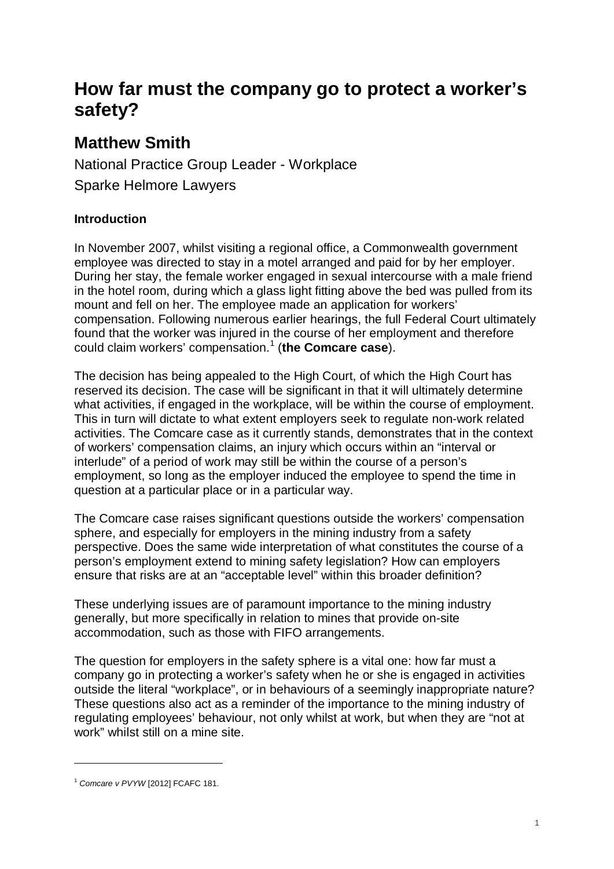# **How far must the company go to protect a worker's safety?**

## **Matthew Smith**

National Practice Group Leader - Workplace Sparke Helmore Lawyers

### **Introduction**

In November 2007, whilst visiting a regional office, a Commonwealth government employee was directed to stay in a motel arranged and paid for by her employer. During her stay, the female worker engaged in sexual intercourse with a male friend in the hotel room, during which a glass light fitting above the bed was pulled from its mount and fell on her. The employee made an application for workers' compensation. Following numerous earlier hearings, the full Federal Court ultimately found that the worker was injured in the course of her employment and therefore could claim workers' compensation.[1](#page-0-0) (**the Comcare case**).

The decision has being appealed to the High Court, of which the High Court has reserved its decision. The case will be significant in that it will ultimately determine what activities, if engaged in the workplace, will be within the course of employment. This in turn will dictate to what extent employers seek to regulate non-work related activities. The Comcare case as it currently stands, demonstrates that in the context of workers' compensation claims, an injury which occurs within an "interval or interlude" of a period of work may still be within the course of a person's employment, so long as the employer induced the employee to spend the time in question at a particular place or in a particular way.

The Comcare case raises significant questions outside the workers' compensation sphere, and especially for employers in the mining industry from a safety perspective. Does the same wide interpretation of what constitutes the course of a person's employment extend to mining safety legislation? How can employers ensure that risks are at an "acceptable level" within this broader definition?

These underlying issues are of paramount importance to the mining industry generally, but more specifically in relation to mines that provide on-site accommodation, such as those with FIFO arrangements.

The question for employers in the safety sphere is a vital one: how far must a company go in protecting a worker's safety when he or she is engaged in activities outside the literal "workplace", or in behaviours of a seemingly inappropriate nature? These questions also act as a reminder of the importance to the mining industry of regulating employees' behaviour, not only whilst at work, but when they are "not at work" whilst still on a mine site.

<span id="page-0-1"></span>-

<span id="page-0-0"></span><sup>1</sup> *Comcare v PVYW* [2012] FCAFC 181.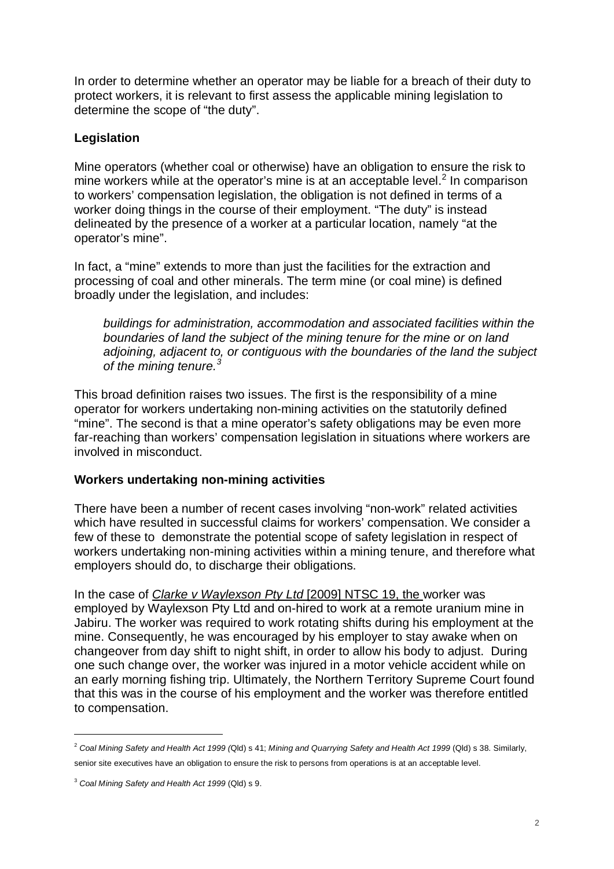In order to determine whether an operator may be liable for a breach of their duty to protect workers, it is relevant to first assess the applicable mining legislation to determine the scope of "the duty".

#### **Legislation**

Mine operators (whether coal or otherwise) have an obligation to ensure the risk to mine workers while at the operator's mine is at an acceptable level. $<sup>2</sup>$  $<sup>2</sup>$  $<sup>2</sup>$  In comparison</sup> to workers' compensation legislation, the obligation is not defined in terms of a worker doing things in the course of their employment. "The duty" is instead delineated by the presence of a worker at a particular location, namely "at the operator's mine".

In fact, a "mine" extends to more than just the facilities for the extraction and processing of coal and other minerals. The term mine (or coal mine) is defined broadly under the legislation, and includes:

*buildings for administration, accommodation and associated facilities within the boundaries of land the subject of the mining tenure for the mine or on land adjoining, adjacent to, or contiguous with the boundaries of the land the subject of the mining tenure.[3](#page-1-0)*

This broad definition raises two issues. The first is the responsibility of a mine operator for workers undertaking non-mining activities on the statutorily defined "mine". The second is that a mine operator's safety obligations may be even more far-reaching than workers' compensation legislation in situations where workers are involved in misconduct.

#### **Workers undertaking non-mining activities**

There have been a number of recent cases involving "non-work" related activities which have resulted in successful claims for workers' compensation. We consider a few of these to demonstrate the potential scope of safety legislation in respect of workers undertaking non-mining activities within a mining tenure, and therefore what employers should do, to discharge their obligations.

In the case of *Clarke v Waylexson Pty Ltd* [2009] NTSC 19, the worker was employed by Waylexson Pty Ltd and on-hired to work at a remote uranium mine in Jabiru. The worker was required to work rotating shifts during his employment at the mine. Consequently, he was encouraged by his employer to stay awake when on changeover from day shift to night shift, in order to allow his body to adjust. During one such change over, the worker was injured in a motor vehicle accident while on an early morning fishing trip. Ultimately, the Northern Territory Supreme Court found that this was in the course of his employment and the worker was therefore entitled to compensation.

-

<sup>2</sup> *Coal Mining Safety and Health Act 1999 (*Qld) s 41; *Mining and Quarrying Safety and Health Act 1999* (Qld) s 38. Similarly, senior site executives have an obligation to ensure the risk to persons from operations is at an acceptable level.

<span id="page-1-0"></span><sup>3</sup> *Coal Mining Safety and Health Act 1999* (Qld) s 9.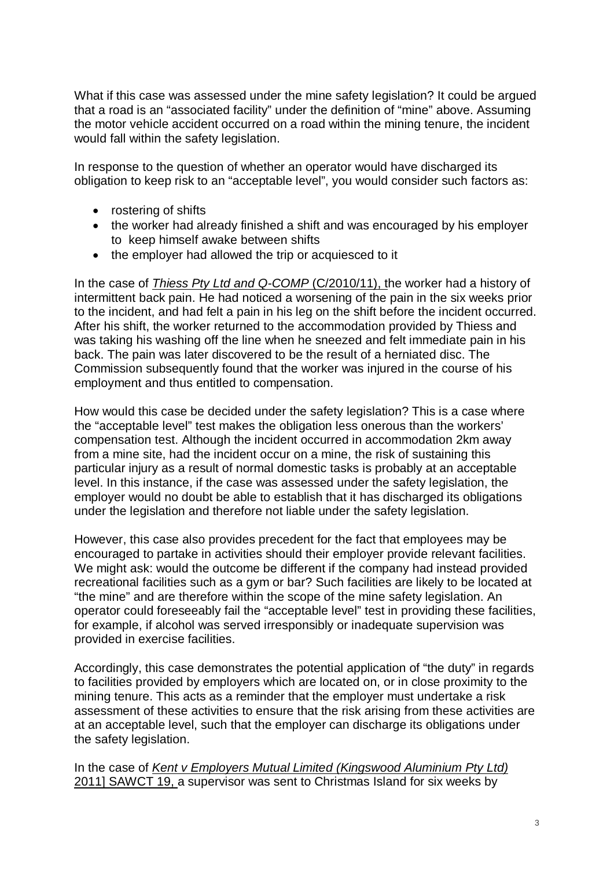What if this case was assessed under the mine safety legislation? It could be argued that a road is an "associated facility" under the definition of "mine" above. Assuming the motor vehicle accident occurred on a road within the mining tenure, the incident would fall within the safety legislation.

In response to the question of whether an operator would have discharged its obligation to keep risk to an "acceptable level", you would consider such factors as:

- rostering of shifts
- the worker had already finished a shift and was encouraged by his employer to keep himself awake between shifts
- the employer had allowed the trip or acquiesced to it

In the case of *Thiess Pty Ltd and Q-COMP* (C/2010/11), the worker had a history of intermittent back pain. He had noticed a worsening of the pain in the six weeks prior to the incident, and had felt a pain in his leg on the shift before the incident occurred. After his shift, the worker returned to the accommodation provided by Thiess and was taking his washing off the line when he sneezed and felt immediate pain in his back. The pain was later discovered to be the result of a herniated disc. The Commission subsequently found that the worker was injured in the course of his employment and thus entitled to compensation.

How would this case be decided under the safety legislation? This is a case where the "acceptable level" test makes the obligation less onerous than the workers' compensation test. Although the incident occurred in accommodation 2km away from a mine site, had the incident occur on a mine, the risk of sustaining this particular injury as a result of normal domestic tasks is probably at an acceptable level. In this instance, if the case was assessed under the safety legislation, the employer would no doubt be able to establish that it has discharged its obligations under the legislation and therefore not liable under the safety legislation.

However, this case also provides precedent for the fact that employees may be encouraged to partake in activities should their employer provide relevant facilities. We might ask: would the outcome be different if the company had instead provided recreational facilities such as a gym or bar? Such facilities are likely to be located at "the mine" and are therefore within the scope of the mine safety legislation. An operator could foreseeably fail the "acceptable level" test in providing these facilities, for example, if alcohol was served irresponsibly or inadequate supervision was provided in exercise facilities.

Accordingly, this case demonstrates the potential application of "the duty" in regards to facilities provided by employers which are located on, or in close proximity to the mining tenure. This acts as a reminder that the employer must undertake a risk assessment of these activities to ensure that the risk arising from these activities are at an acceptable level, such that the employer can discharge its obligations under the safety legislation.

In the case of *Kent v Employers Mutual Limited (Kingswood Aluminium Pty Ltd)*  2011] SAWCT 19, a supervisor was sent to Christmas Island for six weeks by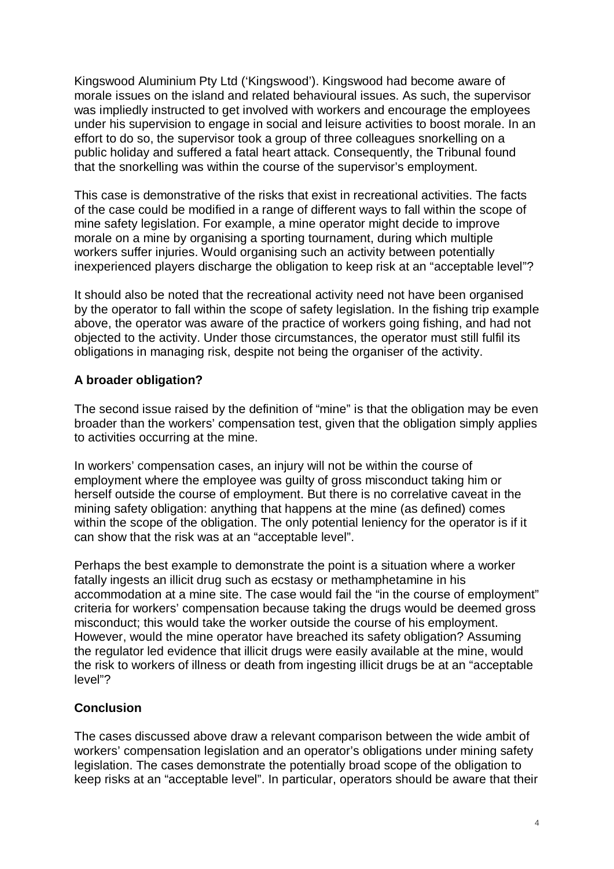Kingswood Aluminium Pty Ltd ('Kingswood'). Kingswood had become aware of morale issues on the island and related behavioural issues. As such, the supervisor was impliedly instructed to get involved with workers and encourage the employees under his supervision to engage in social and leisure activities to boost morale. In an effort to do so, the supervisor took a group of three colleagues snorkelling on a public holiday and suffered a fatal heart attack. Consequently, the Tribunal found that the snorkelling was within the course of the supervisor's employment.

This case is demonstrative of the risks that exist in recreational activities. The facts of the case could be modified in a range of different ways to fall within the scope of mine safety legislation. For example, a mine operator might decide to improve morale on a mine by organising a sporting tournament, during which multiple workers suffer injuries. Would organising such an activity between potentially inexperienced players discharge the obligation to keep risk at an "acceptable level"?

It should also be noted that the recreational activity need not have been organised by the operator to fall within the scope of safety legislation. In the fishing trip example above, the operator was aware of the practice of workers going fishing, and had not objected to the activity. Under those circumstances, the operator must still fulfil its obligations in managing risk, despite not being the organiser of the activity.

#### **A broader obligation?**

The second issue raised by the definition of "mine" is that the obligation may be even broader than the workers' compensation test, given that the obligation simply applies to activities occurring at the mine.

In workers' compensation cases, an injury will not be within the course of employment where the employee was guilty of gross misconduct taking him or herself outside the course of employment. But there is no correlative caveat in the mining safety obligation: anything that happens at the mine (as defined) comes within the scope of the obligation. The only potential leniency for the operator is if it can show that the risk was at an "acceptable level".

Perhaps the best example to demonstrate the point is a situation where a worker fatally ingests an illicit drug such as ecstasy or methamphetamine in his accommodation at a mine site. The case would fail the "in the course of employment" criteria for workers' compensation because taking the drugs would be deemed gross misconduct; this would take the worker outside the course of his employment. However, would the mine operator have breached its safety obligation? Assuming the regulator led evidence that illicit drugs were easily available at the mine, would the risk to workers of illness or death from ingesting illicit drugs be at an "acceptable level"?

#### **Conclusion**

The cases discussed above draw a relevant comparison between the wide ambit of workers' compensation legislation and an operator's obligations under mining safety legislation. The cases demonstrate the potentially broad scope of the obligation to keep risks at an "acceptable level". In particular, operators should be aware that their